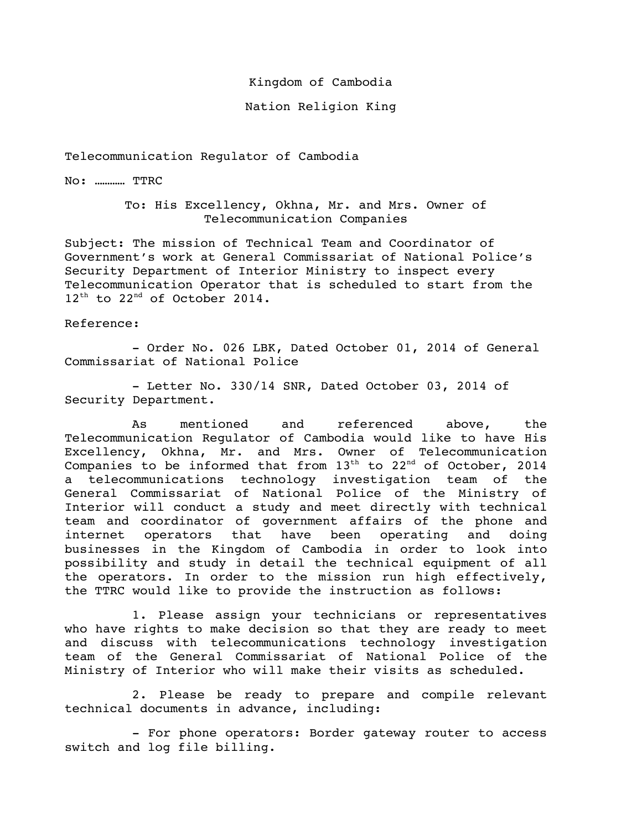Kingdom of Cambodia

Nation Religion King

## Telecommunication Regulator of Cambodia

No: ………… TTRC

To: His Excellency, Okhna, Mr. and Mrs. Owner of Telecommunication Companies

Subject: The mission of Technical Team and Coordinator of Government's work at General Commissariat of National Police's Security Department of Interior Ministry to inspect every Telecommunication Operator that is scheduled to start from the 12<sup>th</sup> to 22<sup>nd</sup> of October 2014.

## Reference:

- Order No. 026 LBK, Dated October 01, 2014 of General Commissariat of National Police

- Letter No. 330/14 SNR, Dated October 03, 2014 of Security Department.

As mentioned and referenced above, the Telecommunication Regulator of Cambodia would like to have His Excellency, Okhna, Mr. and Mrs. Owner of Telecommunication Companies to be informed that from  $13^{th}$  to  $22^{nd}$  of October, 2014 a telecommunications technology investigation team of the General Commissariat of National Police of the Ministry of Interior will conduct a study and meet directly with technical team and coordinator of government affairs of the phone and internet operators that have been operating and doing businesses in the Kingdom of Cambodia in order to look into possibility and study in detail the technical equipment of all the operators. In order to the mission run high effectively, the TTRC would like to provide the instruction as follows:

1. Please assign your technicians or representatives who have rights to make decision so that they are ready to meet and discuss with telecommunications technology investigation team of the General Commissariat of National Police of the Ministry of Interior who will make their visits as scheduled.

2. Please be ready to prepare and compile relevant technical documents in advance, including:

- For phone operators: Border gateway router to access switch and log file billing.